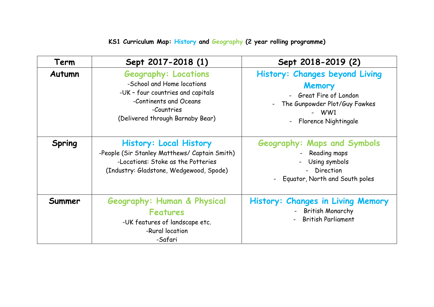## **KS1 Curriculum Map: History and Geography (2 year rolling programme)**

| Term   | Sept 2017-2018 (1)                                                                                                                                                         | Sept 2018-2019 (2)                                                                                                                                             |
|--------|----------------------------------------------------------------------------------------------------------------------------------------------------------------------------|----------------------------------------------------------------------------------------------------------------------------------------------------------------|
| Autumn | <b>Geography: Locations</b><br>-School and Home locations<br>-UK - four countries and capitals<br>-Continents and Oceans<br>-Countries<br>(Delivered through Barnaby Bear) | <b>History: Changes beyond Living</b><br>Memory<br>- Great Fire of London<br>The Gunpowder Plot/Guy Fawkes<br>$-WW1$<br>Florence Nightingale<br>$\blacksquare$ |
| Spring | <b>History: Local History</b><br>-People (Sir Stanley Matthews/ Captain Smith)<br>-Locations: Stoke as the Potteries<br>(Industry: Gladstone, Wedgewood, Spode)            | <b>Geography: Maps and Symbols</b><br>Reading maps<br>Using symbols<br>- Direction<br>Equator, North and South poles                                           |
| Summer | Geography: Human & Physical<br><b>Features</b><br>-UK features of landscape etc.<br>-Rural location<br>-Safari                                                             | History: Changes in Living Memory<br>- British Monarchy<br><b>British Parliament</b>                                                                           |